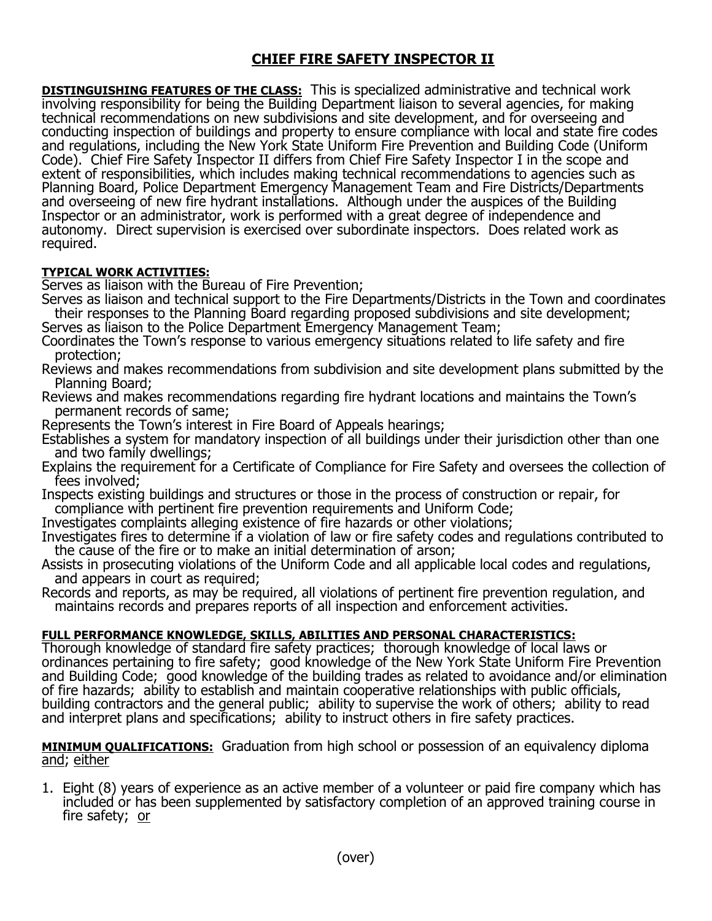## **CHIEF FIRE SAFETY INSPECTOR II**

**DISTINGUISHING FEATURES OF THE CLASS:** This is specialized administrative and technical work involving responsibility for being the Building Department liaison to several agencies, for making technical recommendations on new subdivisions and site development, and for overseeing and conducting inspection of buildings and property to ensure compliance with local and state fire codes and regulations, including the New York State Uniform Fire Prevention and Building Code (Uniform Code). Chief Fire Safety Inspector II differs from Chief Fire Safety Inspector I in the scope and extent of responsibilities, which includes making technical recommendations to agencies such as Planning Board, Police Department Emergency Management Team and Fire Districts/Departments and overseeing of new fire hydrant installations. Although under the auspices of the Building Inspector or an administrator, work is performed with a great degree of independence and autonomy. Direct supervision is exercised over subordinate inspectors. Does related work as required.

## **TYPICAL WORK ACTIVITIES:**

Serves as liaison with the Bureau of Fire Prevention;

Serves as liaison and technical support to the Fire Departments/Districts in the Town and coordinates their responses to the Planning Board regarding proposed subdivisions and site development; Serves as liaison to the Police Department Emergency Management Team;

Coordinates the Town's response to various emergency situations related to life safety and fire protection;

Reviews and makes recommendations from subdivision and site development plans submitted by the Planning Board;

Reviews and makes recommendations regarding fire hydrant locations and maintains the Town's permanent records of same;

Represents the Town's interest in Fire Board of Appeals hearings;

Establishes a system for mandatory inspection of all buildings under their jurisdiction other than one and two family dwellings;

Explains the requirement for a Certificate of Compliance for Fire Safety and oversees the collection of fees involved;

Inspects existing buildings and structures or those in the process of construction or repair, for compliance with pertinent fire prevention requirements and Uniform Code;

Investigates complaints alleging existence of fire hazards or other violations;

Investigates fires to determine if a violation of law or fire safety codes and regulations contributed to the cause of the fire or to make an initial determination of arson;

Assists in prosecuting violations of the Uniform Code and all applicable local codes and regulations, and appears in court as required;

Records and reports, as may be required, all violations of pertinent fire prevention regulation, and maintains records and prepares reports of all inspection and enforcement activities.

## **FULL PERFORMANCE KNOWLEDGE, SKILLS, ABILITIES AND PERSONAL CHARACTERISTICS:**

Thorough knowledge of standard fire safety practices; thorough knowledge of local laws or ordinances pertaining to fire safety; good knowledge of the New York State Uniform Fire Prevention and Building Code; good knowledge of the building trades as related to avoidance and/or elimination of fire hazards; ability to establish and maintain cooperative relationships with public officials, building contractors and the general public; ability to supervise the work of others; ability to read and interpret plans and specifications; ability to instruct others in fire safety practices.

**MINIMUM QUALIFICATIONS:** Graduation from high school or possession of an equivalency diploma and; either

1. Eight (8) years of experience as an active member of a volunteer or paid fire company which has included or has been supplemented by satisfactory completion of an approved training course in fire safety; or